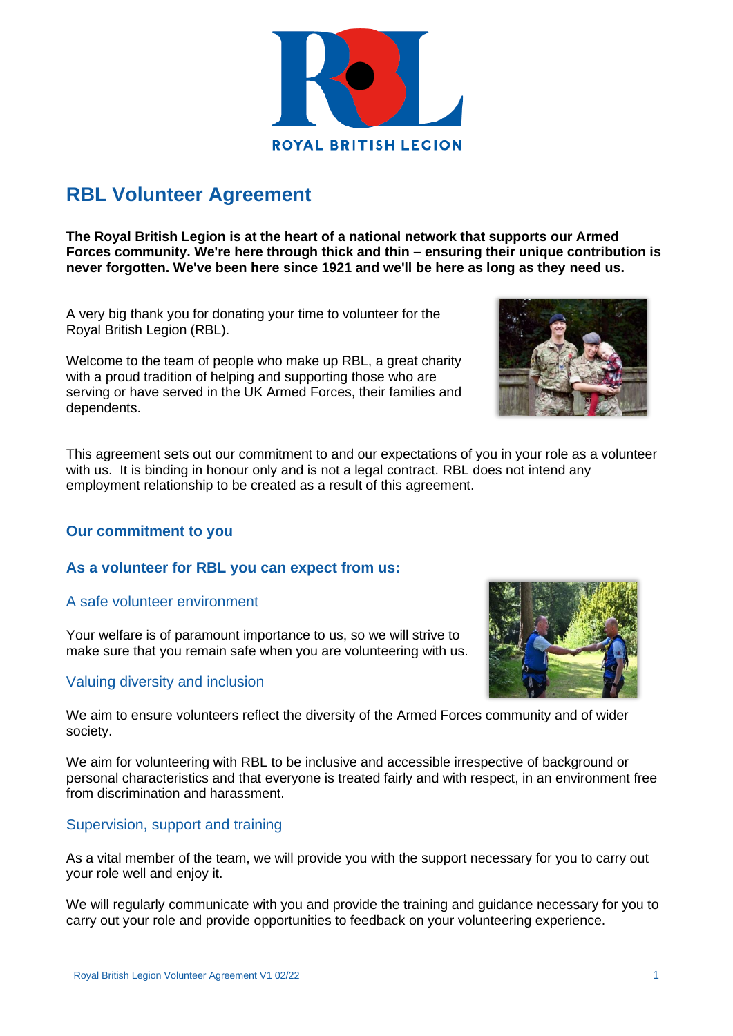

# **RBL Volunteer Agreement**

**The Royal British Legion is at the heart of a national network that supports our Armed Forces community. We're here through thick and thin – ensuring their unique contribution is never forgotten. We've been here since 1921 and we'll be here as long as they need us.** 

A very big thank you for donating your time to volunteer for the Royal British Legion (RBL).

Welcome to the team of people who make up RBL, a great charity with a proud tradition of helping and supporting those who are serving or have served in the UK Armed Forces, their families and dependents.

This agreement sets out our commitment to and our expectations of you in your role as a volunteer with us. It is binding in honour only and is not a legal contract. RBL does not intend any employment relationship to be created as a result of this agreement.

## **Our commitment to you**

## **As a volunteer for RBL you can expect from us:**

## A safe volunteer environment

Your welfare is of paramount importance to us, so we will strive to make sure that you remain safe when you are volunteering with us.

# Valuing diversity and inclusion

We aim to ensure volunteers reflect the diversity of the Armed Forces community and of wider society.

We aim for volunteering with RBL to be inclusive and accessible irrespective of background or personal characteristics and that everyone is treated fairly and with respect, in an environment free from discrimination and harassment.

# Supervision, support and training

As a vital member of the team, we will provide you with the support necessary for you to carry out your role well and enjoy it.

We will regularly communicate with you and provide the training and guidance necessary for you to carry out your role and provide opportunities to feedback on your volunteering experience.





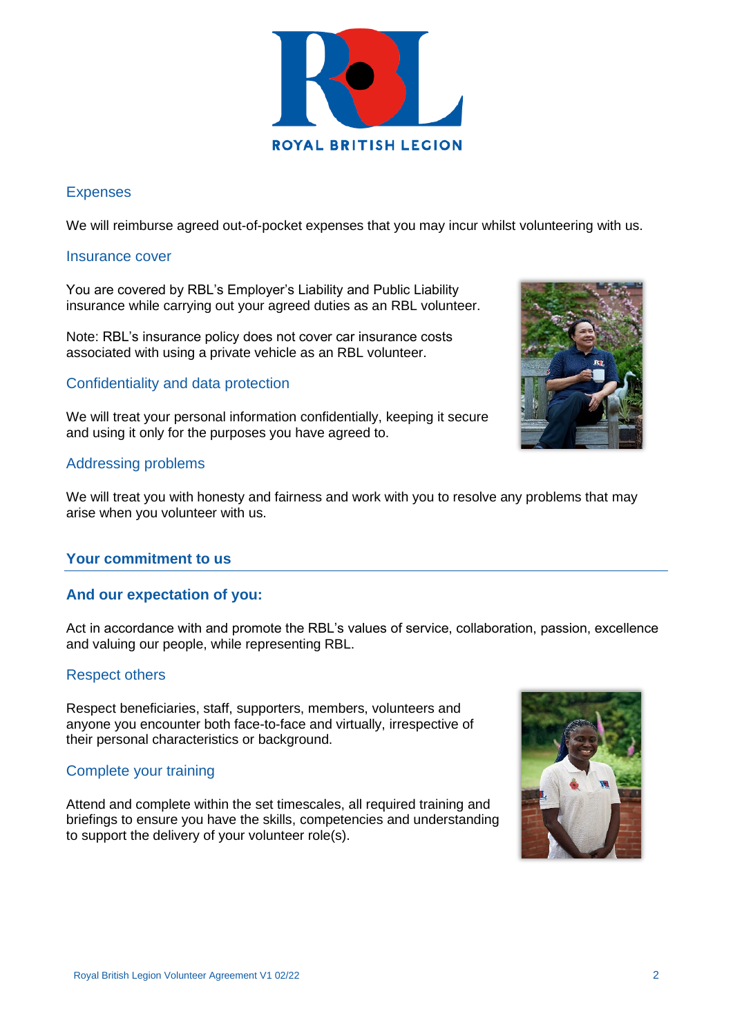

# Expenses

We will reimburse agreed out-of-pocket expenses that you may incur whilst volunteering with us.

#### Insurance cover

You are covered by RBL's Employer's Liability and Public Liability insurance while carrying out your agreed duties as an RBL volunteer.

Note: RBL's insurance policy does not cover car insurance costs associated with using a private vehicle as an RBL volunteer.

# Confidentiality and data protection

We will treat your personal information confidentially, keeping it secure and using it only for the purposes you have agreed to.

# Addressing problems

We will treat you with honesty and fairness and work with you to resolve any problems that may arise when you volunteer with us.

# **Your commitment to us**

## **And our expectation of you:**

Act in accordance with and promote the RBL's values of service, collaboration, passion, excellence and valuing our people, while representing RBL.

## Respect others

Respect beneficiaries, staff, supporters, members, volunteers and anyone you encounter both face-to-face and virtually, irrespective of their personal characteristics or background.

# Complete your training

Attend and complete within the set timescales, all required training and briefings to ensure you have the skills, competencies and understanding to support the delivery of your volunteer role(s).